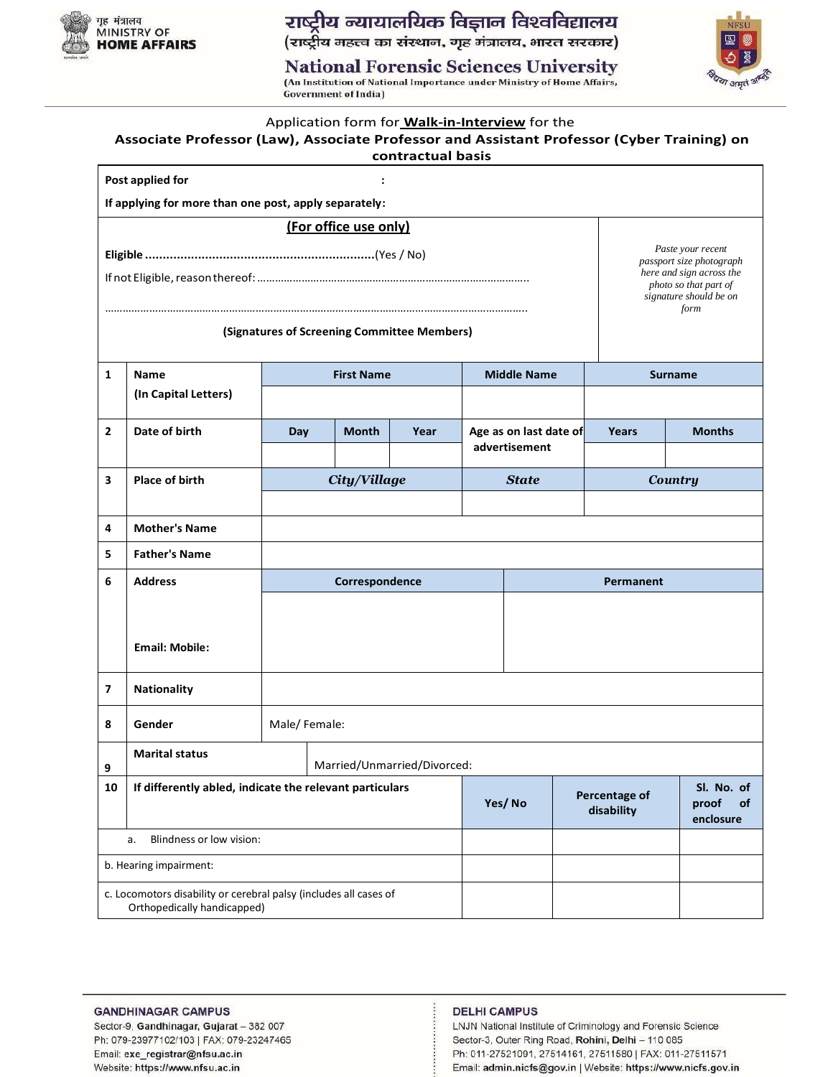

राष्ट्रीय न्यायालयिक विज्ञान विश्वविद्यालय<br>(राष्ट्रीय महत्त्व का संस्थान, गृह मंत्रालय, भारत सरकार)

**National Forensic Sciences University** 

(An Institution of National Importance under Ministry of Home Affairs, **Government of India)** 



|                                                               | Application form for <b>Walk-in-Interview</b> for the<br>Associate Professor (Law), Associate Professor and Assistant Professor (Cyber Training) on<br>contractual basis |              |                   |                             |                             |                                               |           |                                                                                                                                      |
|---------------------------------------------------------------|--------------------------------------------------------------------------------------------------------------------------------------------------------------------------|--------------|-------------------|-----------------------------|-----------------------------|-----------------------------------------------|-----------|--------------------------------------------------------------------------------------------------------------------------------------|
|                                                               | Post applied for                                                                                                                                                         |              |                   |                             |                             |                                               |           |                                                                                                                                      |
|                                                               | If applying for more than one post, apply separately:                                                                                                                    |              |                   |                             |                             |                                               |           |                                                                                                                                      |
|                                                               | (For office use only)                                                                                                                                                    |              |                   |                             |                             |                                               |           |                                                                                                                                      |
|                                                               |                                                                                                                                                                          |              |                   |                             |                             |                                               |           | Paste your recent<br>passport size photograph<br>here and sign across the<br>photo so that part of<br>signature should be on<br>form |
| (Signatures of Screening Committee Members)                   |                                                                                                                                                                          |              |                   |                             |                             |                                               |           |                                                                                                                                      |
| 1                                                             | <b>Name</b>                                                                                                                                                              |              | <b>First Name</b> |                             |                             | <b>Middle Name</b>                            |           | <b>Surname</b>                                                                                                                       |
|                                                               | (In Capital Letters)                                                                                                                                                     |              |                   |                             |                             |                                               |           |                                                                                                                                      |
| $\mathbf{2}$                                                  | Date of birth                                                                                                                                                            | Day          | <b>Month</b>      | Year                        |                             | Age as on last date of                        | Years     | <b>Months</b>                                                                                                                        |
|                                                               |                                                                                                                                                                          |              |                   |                             |                             | advertisement                                 |           |                                                                                                                                      |
| 3                                                             | <b>Place of birth</b>                                                                                                                                                    |              | City/Village      |                             |                             | <b>State</b>                                  |           | <b>Country</b>                                                                                                                       |
|                                                               |                                                                                                                                                                          |              |                   |                             |                             |                                               |           |                                                                                                                                      |
| 4                                                             | <b>Mother's Name</b>                                                                                                                                                     |              |                   |                             |                             |                                               |           |                                                                                                                                      |
| 5                                                             | <b>Father's Name</b>                                                                                                                                                     |              |                   |                             |                             |                                               |           |                                                                                                                                      |
| 6                                                             | <b>Address</b>                                                                                                                                                           |              | Correspondence    |                             |                             |                                               | Permanent |                                                                                                                                      |
|                                                               |                                                                                                                                                                          |              |                   |                             |                             |                                               |           |                                                                                                                                      |
|                                                               | <b>Email: Mobile:</b>                                                                                                                                                    |              |                   |                             |                             |                                               |           |                                                                                                                                      |
|                                                               |                                                                                                                                                                          |              |                   |                             |                             |                                               |           |                                                                                                                                      |
| 7                                                             | <b>Nationality</b>                                                                                                                                                       |              |                   |                             |                             |                                               |           |                                                                                                                                      |
| 8                                                             | Gender                                                                                                                                                                   | Male/Female: |                   |                             |                             |                                               |           |                                                                                                                                      |
| 9                                                             | <b>Marital status</b>                                                                                                                                                    |              |                   | Married/Unmarried/Divorced: |                             |                                               |           |                                                                                                                                      |
| If differently abled, indicate the relevant particulars<br>10 |                                                                                                                                                                          |              |                   | Yes/No                      | Percentage of<br>disability | Sl. No. of<br>proof<br><b>of</b><br>enclosure |           |                                                                                                                                      |
|                                                               | Blindness or low vision:<br>а.                                                                                                                                           |              |                   |                             |                             |                                               |           |                                                                                                                                      |
|                                                               | b. Hearing impairment:                                                                                                                                                   |              |                   |                             |                             |                                               |           |                                                                                                                                      |
|                                                               | c. Locomotors disability or cerebral palsy (includes all cases of<br>Orthopedically handicapped)                                                                         |              |                   |                             |                             |                                               |           |                                                                                                                                      |

### **GANDHINAGAR CAMPUS**

Sector-9, Gandhinagar, Gujarat - 382 007 Ph: 079-23977102/103 | FAX: 079-23247465 Email: exe\_registrar@nfsu.ac.in Website: https://www.nfsu.ac.in

### **DELHI CAMPUS**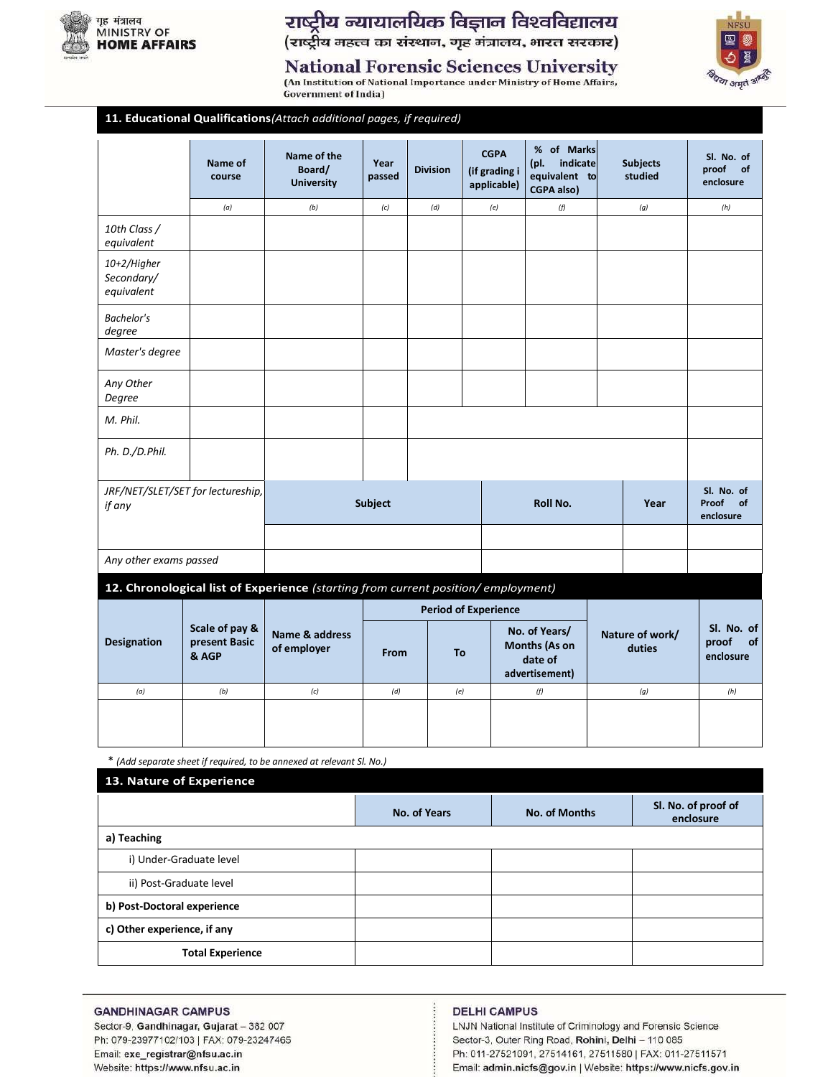

11.

# राष्ट्रीय न्यायालयिक विज्ञान विश्वविद्यालय<br>(राष्ट्रीय महत्त्व का संस्थान, गृह मंत्रालय, भारत सरकार)





**Government of India)** 

| <b>Educational Qualifications</b> (Attach additional pages, if required) |  |  |  |
|--------------------------------------------------------------------------|--|--|--|
|                                                                          |  |  |  |

|                                             | Name of<br>course                        | Name of the<br>Board/<br><b>University</b>                                       | Year<br>passed | <b>Division</b> | <b>CGPA</b><br>(if grading i<br>applicable) | % of Marks<br>indicate<br>(pl.<br>equivalent to<br><b>CGPA also)</b> |  | <b>Subjects</b><br>studied | Sl. No. of<br>proof<br>of<br>enclosure |
|---------------------------------------------|------------------------------------------|----------------------------------------------------------------------------------|----------------|-----------------|---------------------------------------------|----------------------------------------------------------------------|--|----------------------------|----------------------------------------|
|                                             | (a)                                      | (b)                                                                              | (c)            | (d)             | (e)                                         | (f)                                                                  |  | (g)                        | (h)                                    |
| 10th Class /<br>equivalent                  |                                          |                                                                                  |                |                 |                                             |                                                                      |  |                            |                                        |
| 10+2/Higher<br>Secondary/<br>equivalent     |                                          |                                                                                  |                |                 |                                             |                                                                      |  |                            |                                        |
| Bachelor's<br>degree                        |                                          |                                                                                  |                |                 |                                             |                                                                      |  |                            |                                        |
| Master's degree                             |                                          |                                                                                  |                |                 |                                             |                                                                      |  |                            |                                        |
| Any Other<br>Degree                         |                                          |                                                                                  |                |                 |                                             |                                                                      |  |                            |                                        |
| M. Phil.                                    |                                          |                                                                                  |                |                 |                                             |                                                                      |  |                            |                                        |
| Ph. D./D.Phil.                              |                                          |                                                                                  |                |                 |                                             |                                                                      |  |                            |                                        |
| JRF/NET/SLET/SET for lectureship,<br>if any |                                          |                                                                                  | <b>Subject</b> |                 |                                             | Roll No.                                                             |  | Year                       | Sl. No. of<br>Proof<br>of<br>enclosure |
|                                             |                                          |                                                                                  |                |                 |                                             |                                                                      |  |                            |                                        |
| Any other exams passed                      |                                          |                                                                                  |                |                 |                                             |                                                                      |  |                            |                                        |
|                                             |                                          | 12. Chronological list of Experience (starting from current position/employment) |                |                 |                                             |                                                                      |  |                            |                                        |
|                                             |                                          |                                                                                  |                |                 | <b>Period of Experience</b>                 |                                                                      |  |                            |                                        |
| <b>Designation</b>                          | Scale of pay &<br>present Basic<br>& AGP | Name & address<br>of employer                                                    | From           | To              |                                             | No. of Years/<br>Months (As on<br>date of<br>advertisement)          |  | Nature of work/<br>duties  | Sl. No. of<br>proof<br>of<br>enclosure |
| (a)                                         | (b)                                      | (c)                                                                              | (d)            | (e)             |                                             | (f)                                                                  |  | (g)                        | (h)                                    |
|                                             |                                          |                                                                                  |                |                 |                                             |                                                                      |  |                            |                                        |

\* (Add separate sheet if required, to be annexed at relevant Sl. No.)

| 13. Nature of Experience    |                     |                      |                                  |
|-----------------------------|---------------------|----------------------|----------------------------------|
|                             | <b>No. of Years</b> | <b>No. of Months</b> | Sl. No. of proof of<br>enclosure |
| a) Teaching                 |                     |                      |                                  |
| i) Under-Graduate level     |                     |                      |                                  |
| ii) Post-Graduate level     |                     |                      |                                  |
| b) Post-Doctoral experience |                     |                      |                                  |
| c) Other experience, if any |                     |                      |                                  |
| <b>Total Experience</b>     |                     |                      |                                  |

### **GANDHINAGAR CAMPUS**

Sector-9, Gandhinagar, Gujarat - 382 007 Ph: 079-23977102/103 | FAX: 079-23247465 Email: exe\_registrar@nfsu.ac.in Website: https://www.nfsu.ac.in

### **DELHI CAMPUS**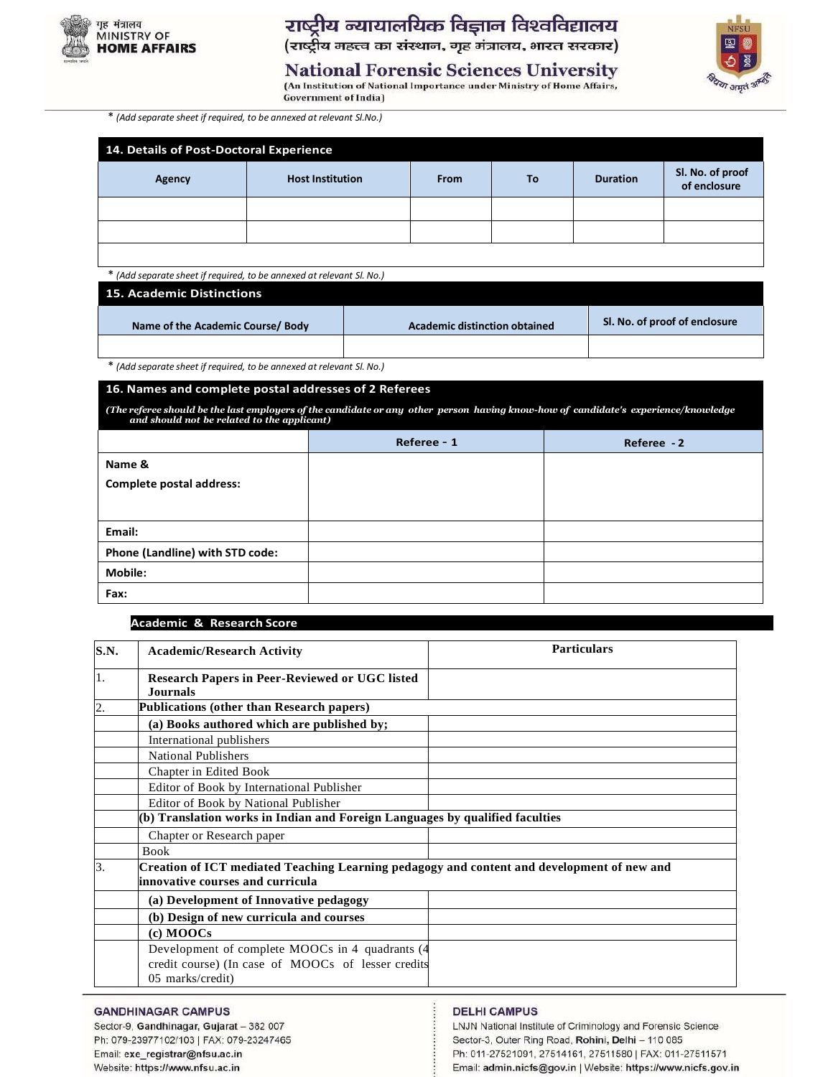

राष्ट्रीय न्यायालयिक विज्ञान विश्वविद्यालय (राष्ट्रीय महत्त्व का संस्थान, गृह मंत्रालय, भारत सरकार) था अमृतं <sup>3</sup>

**National Forensic Sciences University** 

(An Institution of National Importance under Ministry of Home Affairs, **Government of India)** 

\* *(Add separate sheet if required, to be annexed at relevant Sl.No.)*

| 14. Details of Post-Doctoral Experience |                         |             |    |                 |                                  |  |  |
|-----------------------------------------|-------------------------|-------------|----|-----------------|----------------------------------|--|--|
| Agency                                  | <b>Host Institution</b> | <b>From</b> | To | <b>Duration</b> | Sl. No. of proof<br>of enclosure |  |  |
|                                         |                         |             |    |                 |                                  |  |  |
|                                         |                         |             |    |                 |                                  |  |  |
|                                         |                         |             |    |                 |                                  |  |  |

\* *(Add separate sheet if required, to be annexed at relevant Sl. No.)*

## **15. Academic Distinctions Name of the Academic Course/ Body Academic distinction obtained Sl. No. of proof of enclosure**

\* *(Add separate sheet if required, to be annexed at relevant Sl. No.)*

### **16. Names and complete postal addresses of 2 Referees**

(The referee should be the last employers of the candidate or any other person having know-how of candidate's experience/knowledge<br>and should not be related to the applicant)

|                                 | Referee - 1 | Referee - 2 |
|---------------------------------|-------------|-------------|
| Name &                          |             |             |
| <b>Complete postal address:</b> |             |             |
|                                 |             |             |
| Email:                          |             |             |
| Phone (Landline) with STD code: |             |             |
| <b>Mobile:</b>                  |             |             |
| Fax:                            |             |             |

### **17. Academic & Research Score**

| S.N.             | <b>Academic/Research Activity</b>                                                                                              | <b>Particulars</b> |  |  |  |  |
|------------------|--------------------------------------------------------------------------------------------------------------------------------|--------------------|--|--|--|--|
| 1.               | <b>Research Papers in Peer-Reviewed or UGC listed</b><br><b>Journals</b>                                                       |                    |  |  |  |  |
| $\overline{2}$ . | Publications (other than Research papers)                                                                                      |                    |  |  |  |  |
|                  | (a) Books authored which are published by;                                                                                     |                    |  |  |  |  |
|                  | International publishers                                                                                                       |                    |  |  |  |  |
|                  | <b>National Publishers</b>                                                                                                     |                    |  |  |  |  |
|                  | Chapter in Edited Book                                                                                                         |                    |  |  |  |  |
|                  | Editor of Book by International Publisher                                                                                      |                    |  |  |  |  |
|                  | Editor of Book by National Publisher                                                                                           |                    |  |  |  |  |
|                  | (b) Translation works in Indian and Foreign Languages by qualified faculties                                                   |                    |  |  |  |  |
|                  | Chapter or Research paper                                                                                                      |                    |  |  |  |  |
|                  | <b>Book</b>                                                                                                                    |                    |  |  |  |  |
| 3.               | Creation of ICT mediated Teaching Learning pedagogy and content and development of new and<br>innovative courses and curricula |                    |  |  |  |  |
|                  | (a) Development of Innovative pedagogy                                                                                         |                    |  |  |  |  |
|                  | (b) Design of new curricula and courses                                                                                        |                    |  |  |  |  |
|                  | (c) MOOCs                                                                                                                      |                    |  |  |  |  |
|                  | Development of complete MOOCs in 4 quadrants (4)<br>credit course) (In case of MOOCs of lesser credits<br>05 marks/credit)     |                    |  |  |  |  |

### **GANDHINAGAR CAMPUS**

Sector-9, Gandhinagar, Gujarat - 382 007 Ph: 079-23977102/103 | FAX: 079-23247465 Email: exe\_registrar@nfsu.ac.in Website: https://www.nfsu.ac.in

### **DELHI CAMPUS**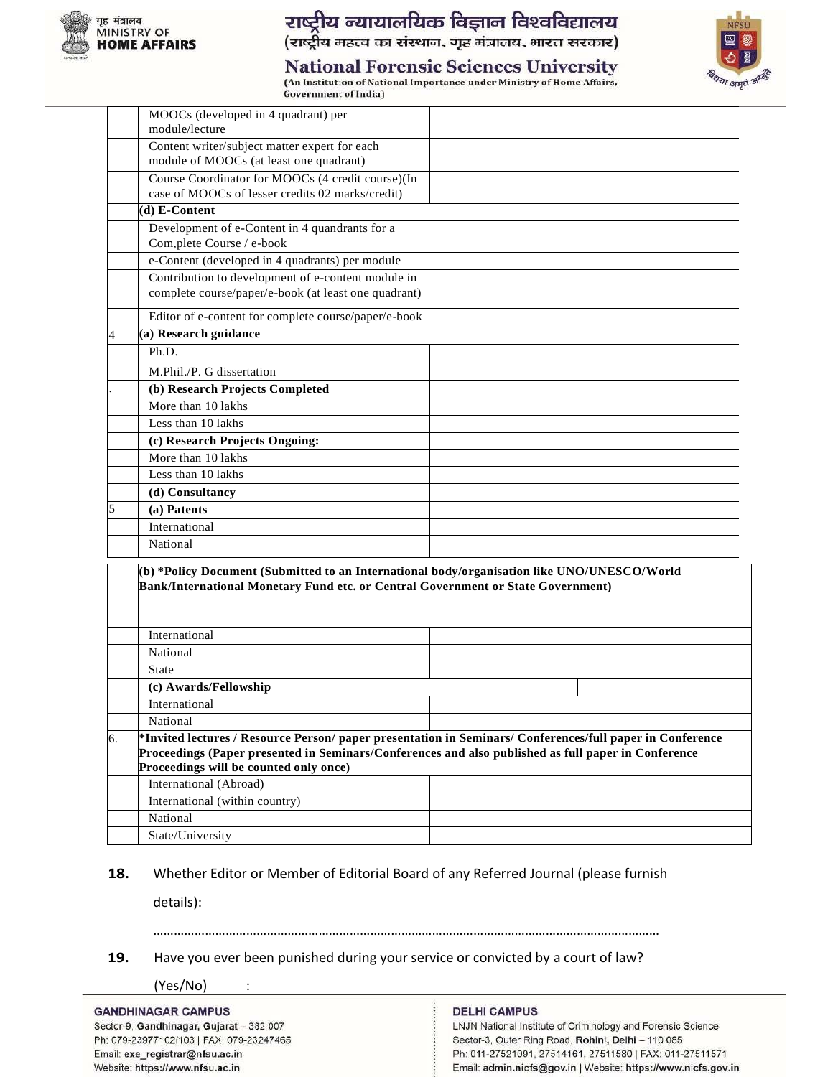

### राष्ट्रीय न्यायालयिक विज्ञान विश्वविद्यालय

(राष्ट्रीय महत्त्व का संस्थान, गृह मंत्रालय, भारत सरकार)



### **National Forensic Sciences University**

(An Institution of National Importance under Ministry of Home Affairs, **Government of India)** 

|    | MOOCs (developed in 4 quadrant) per<br>module/lecture                                                                                                                           |                                                                                                           |
|----|---------------------------------------------------------------------------------------------------------------------------------------------------------------------------------|-----------------------------------------------------------------------------------------------------------|
|    | Content writer/subject matter expert for each                                                                                                                                   |                                                                                                           |
|    | module of MOOCs (at least one quadrant)                                                                                                                                         |                                                                                                           |
|    | Course Coordinator for MOOCs (4 credit course)(In                                                                                                                               |                                                                                                           |
|    | case of MOOCs of lesser credits 02 marks/credit)                                                                                                                                |                                                                                                           |
|    | (d) E-Content                                                                                                                                                                   |                                                                                                           |
|    | Development of e-Content in 4 quandrants for a                                                                                                                                  |                                                                                                           |
|    | Com, plete Course / e-book                                                                                                                                                      |                                                                                                           |
|    | e-Content (developed in 4 quadrants) per module                                                                                                                                 |                                                                                                           |
|    | Contribution to development of e-content module in                                                                                                                              |                                                                                                           |
|    | complete course/paper/e-book (at least one quadrant)                                                                                                                            |                                                                                                           |
|    | Editor of e-content for complete course/paper/e-book                                                                                                                            |                                                                                                           |
| 4  | (a) Research guidance                                                                                                                                                           |                                                                                                           |
|    | Ph.D.                                                                                                                                                                           |                                                                                                           |
|    | M.Phil./P. G dissertation                                                                                                                                                       |                                                                                                           |
|    | (b) Research Projects Completed                                                                                                                                                 |                                                                                                           |
|    | More than 10 lakhs                                                                                                                                                              |                                                                                                           |
|    | Less than 10 lakhs                                                                                                                                                              |                                                                                                           |
|    | (c) Research Projects Ongoing:                                                                                                                                                  |                                                                                                           |
|    | More than 10 lakhs                                                                                                                                                              |                                                                                                           |
|    | Less than 10 lakhs                                                                                                                                                              |                                                                                                           |
|    | (d) Consultancy                                                                                                                                                                 |                                                                                                           |
| 5  | (a) Patents                                                                                                                                                                     |                                                                                                           |
|    | International                                                                                                                                                                   |                                                                                                           |
|    | National                                                                                                                                                                        |                                                                                                           |
|    | (b) *Policy Document (Submitted to an International body/organisation like UNO/UNESCO/World<br>Bank/International Monetary Fund etc. or Central Government or State Government) |                                                                                                           |
|    | International                                                                                                                                                                   |                                                                                                           |
|    | National                                                                                                                                                                        |                                                                                                           |
|    | <b>State</b>                                                                                                                                                                    |                                                                                                           |
|    | (c) Awards/Fellowship                                                                                                                                                           |                                                                                                           |
|    | International                                                                                                                                                                   |                                                                                                           |
|    | National                                                                                                                                                                        |                                                                                                           |
| 6. |                                                                                                                                                                                 | *Invited lectures / Resource Person/ paper presentation in Seminars/ Conferences/full paper in Conference |
|    | Proceedings (Paper presented in Seminars/Conferences and also published as full paper in Conference<br>Proceedings will be counted only once)                                   |                                                                                                           |
|    | International (Abroad)                                                                                                                                                          |                                                                                                           |
|    | International (within country)                                                                                                                                                  |                                                                                                           |
|    | National                                                                                                                                                                        |                                                                                                           |
|    | State/University                                                                                                                                                                |                                                                                                           |
|    |                                                                                                                                                                                 |                                                                                                           |

### **18.** Whether Editor or Member of Editorial Board of any Referred Journal (please furnish

details):

### …………………………………………………………………………………………………………………………………

**19.** Have you ever been punished during your service or convicted by a court of law?

(Yes/No) :

### **GANDHINAGAR CAMPUS**

Sector-9, Gandhinagar, Gujarat - 382 007 Ph: 079-23977102/103 | FAX: 079-23247465 Email: exe\_registrar@nfsu.ac.in Website: https://www.nfsu.ac.in

### **DELHI CAMPUS**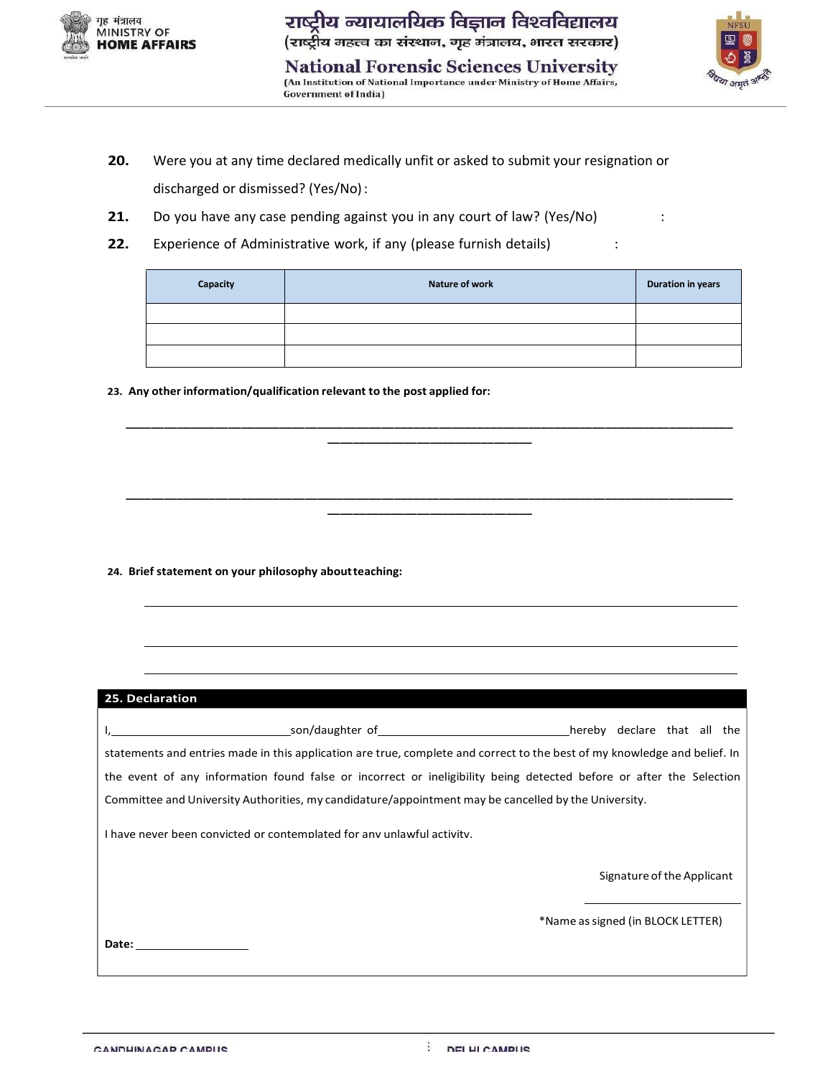

National Forensic Sciences University<br>(An Institution of National Importance under Ministry of Home Affairs, **Government of India)** 



- **20.** Were you at any time declared medically unfit or asked to submit your resignation or discharged or dismissed? (Yes/No):
- **21.** Do you have any case pending against you in any court of law? (Yes/No) :
- **22.** Experience of Administrative work, if any (please furnish details) :

| Capacity | <b>Nature of work</b> | <b>Duration in years</b> |
|----------|-----------------------|--------------------------|
|          |                       |                          |
|          |                       |                          |
|          |                       |                          |

**\_\_\_\_\_\_\_\_\_\_\_\_\_\_\_\_\_\_\_\_\_\_\_\_\_\_\_\_\_\_\_\_\_\_\_\_\_\_\_\_\_\_\_\_\_\_\_\_\_\_\_\_\_\_\_\_\_\_\_\_\_\_\_\_\_\_\_\_\_\_\_\_\_\_\_\_\_\_\_\_\_\_\_\_\_\_\_\_\_\_\_\_\_\_\_ \_\_\_\_\_\_\_\_\_\_\_\_\_\_\_\_\_\_\_\_\_\_\_\_\_\_\_\_\_\_\_\_**

**\_\_\_\_\_\_\_\_\_\_\_\_\_\_\_\_\_\_\_\_\_\_\_\_\_\_\_\_\_\_\_\_\_\_\_\_\_\_\_\_\_\_\_\_\_\_\_\_\_\_\_\_\_\_\_\_\_\_\_\_\_\_\_\_\_\_\_\_\_\_\_\_\_\_\_\_\_\_\_\_\_\_\_\_\_\_\_\_\_\_\_\_\_\_\_ \_\_\_\_\_\_\_\_\_\_\_\_\_\_\_\_\_\_\_\_\_\_\_\_\_\_\_\_\_\_\_\_**

**23. Any other information/qualification relevant to the post applied for:**

**24. Brief statement on your philosophy aboutteaching:**

### **25. Declaration**

| son/daughter of the control of the control of the control of the control of the control of the control of the control of the control of the control of the control of the control of the control of the control of the control | hereby declare that all the |  |  |
|--------------------------------------------------------------------------------------------------------------------------------------------------------------------------------------------------------------------------------|-----------------------------|--|--|
| statements and entries made in this application are true, complete and correct to the best of my knowledge and belief. In                                                                                                      |                             |  |  |
| the event of any information found false or incorrect or ineligibility being detected before or after the Selection                                                                                                            |                             |  |  |
| Committee and University Authorities, my candidature/appointment may be cancelled by the University.                                                                                                                           |                             |  |  |

I have never been convicted or contemplated for any unlawful activity.

Signature of the Applicant

\*Name assigned (in BLOCK LETTER)

**Date:**